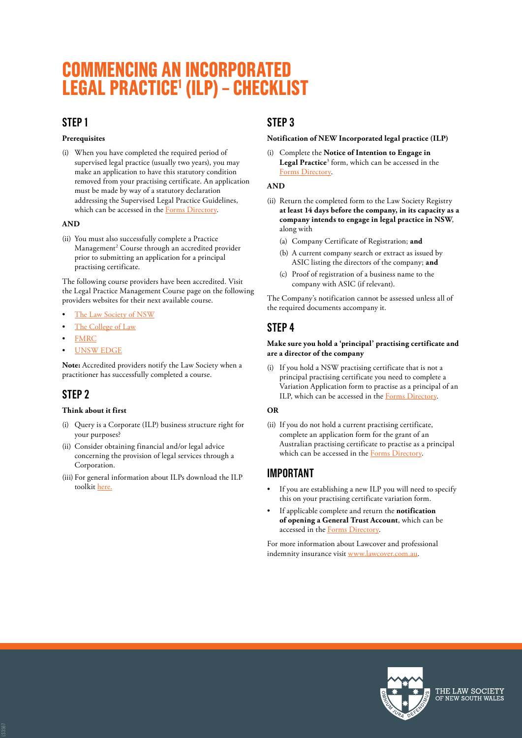# **COMMENCING AN INCORPORATED LEGAL PRACTICE1 (ILP) – CHECKLIST**

### **STEP 1**

#### **Prerequisites**

(i) When you have completed the required period of supervised legal practice (usually two years), you may make an application to have this statutory condition removed from your practising certificate. An application must be made by way of a statutory declaration addressing the Supervised Legal Practice Guidelines, which can be accessed in the [Forms Directory](https://www.lawsociety.com.au/resources/publications/forms-directory).

#### **AND**

(ii) You must also successfully complete a Practice Management<sup>2</sup> Course through an accredited provider prior to submitting an application for a principal practising certificate.

The following course providers have been accredited. Visit the Legal Practice Management Course page on the following providers websites for their next available course.

- [The Law Society of NSW](https://www.lawinform.com.au/blocks/androgogic_catalogue/index.php?q=practice%20management%20course&_ga=2.190463663.509127553.1616379978-1137432213.1581565231)
- The [College of Law](https://www.collaw.edu.au/programs/lpmc/c-24/c-85)
- **[FMRC](https://www.fmrc.com.au/)**
- [UNSW EDGE](https://www.edge.unsw.edu.au/pmcplus)

**Note:** Accredited providers notify the Law Society when a practitioner has successfully completed a course.

## **STEP 2**

#### **Think about it first**

- (i) Query is a Corporate (ILP) business structure right for your purposes?
- (ii) Consider obtaining financial and/or legal advice concerning the provision of legal services through a Corporation.
- (iii) For general information about ILPs download the ILP toolkit [here.](https://www.lawsociety.com.au/practising-law-in-NSW/ethics-and-compliance/regulatory-compliance)

## **STEP 3**

#### **Notification of NEW Incorporated legal practice (ILP)**

(i) Complete the **Notice of Intention to Engage in**  Legal Practice<sup>3</sup> form, which can be accessed in the [Forms Directory](https://www.lawsociety.com.au/resources/publications/forms-directory).

#### **AND**

- (ii) Return the completed form to the Law Society Registry **at least 14 days before the company, in its capacity as a company intends to engage in legal practice in NSW**, along with
	- (a) Company Certificate of Registration; **and**
	- (b) A current company search or extract as issued by ASIC listing the directors of the company; **and**
	- (c) Proof of registration of a business name to the company with ASIC (if relevant).

The Company's notification cannot be assessed unless all of the required documents accompany it.

# **STEP 4**

#### **Make sure you hold a 'principal' practising certificate and are a director of the company**

(i) If you hold a NSW practising certificate that is not a principal practising certificate you need to complete a Variation Application form to practise as a principal of an ILP, which can be accessed in the [Forms Directory](https://www.lawsociety.com.au/resources/publications/forms-directory).

#### **OR**

(ii) If you do not hold a current practising certificate, complete an application form for the grant of an Australian practising certificate to practise as a principal which can be accessed in the [Forms Directory.](https://www.lawsociety.com.au/resources/publications/forms-directory)

## **IMPORTANT**

- If you are establishing a new ILP you will need to specify this on your practising certificate variation form.
- If applicable complete and return the **notification of opening a General Trust Account**, which can be accessed in the [Forms Directory](https://www.lawsociety.com.au/resources/publications/forms-directory).

For more information about Lawcover and professional indemnity insurance visit [www.lawcover.com.au](http://www.lawcover.com.au/).